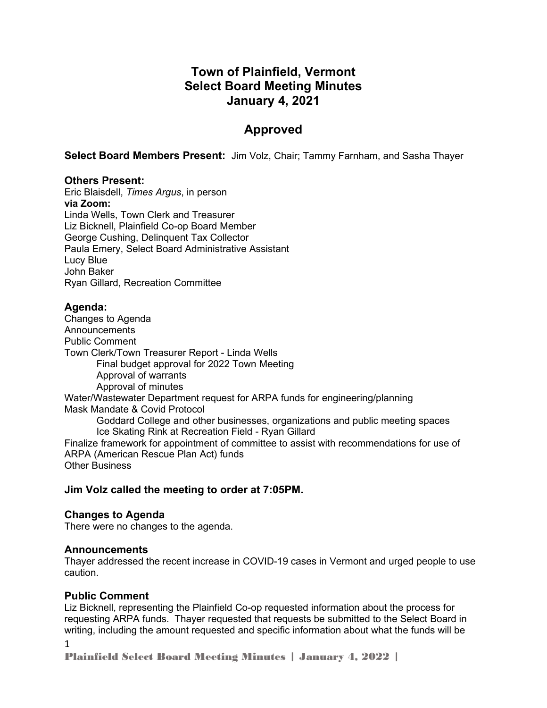# **Town of Plainfield, Vermont Select Board Meeting Minutes January 4, 2021**

# **Approved**

**Select Board Members Present:** Jim Volz, Chair; Tammy Farnham, and Sasha Thayer

#### **Others Present:**

Eric Blaisdell, *Times Argus*, in person **via Zoom:** Linda Wells, Town Clerk and Treasurer Liz Bicknell, Plainfield Co-op Board Member George Cushing, Delinquent Tax Collector Paula Emery, Select Board Administrative Assistant Lucy Blue John Baker Ryan Gillard, Recreation Committee

## **Agenda:**

Changes to Agenda Announcements Public Comment Town Clerk/Town Treasurer Report - Linda Wells Final budget approval for 2022 Town Meeting Approval of warrants Approval of minutes Water/Wastewater Department request for ARPA funds for engineering/planning Mask Mandate & Covid Protocol Goddard College and other businesses, organizations and public meeting spaces Ice Skating Rink at Recreation Field - Ryan Gillard Finalize framework for appointment of committee to assist with recommendations for use of ARPA (American Rescue Plan Act) funds Other Business

## **Jim Volz called the meeting to order at 7:05PM.**

#### **Changes to Agenda**

There were no changes to the agenda.

#### **Announcements**

Thayer addressed the recent increase in COVID-19 cases in Vermont and urged people to use caution.

## **Public Comment**

Liz Bicknell, representing the Plainfield Co-op requested information about the process for requesting ARPA funds. Thayer requested that requests be submitted to the Select Board in writing, including the amount requested and specific information about what the funds will be

1

Plainfield Select Board Meeting Minutes | January 4, 2022 |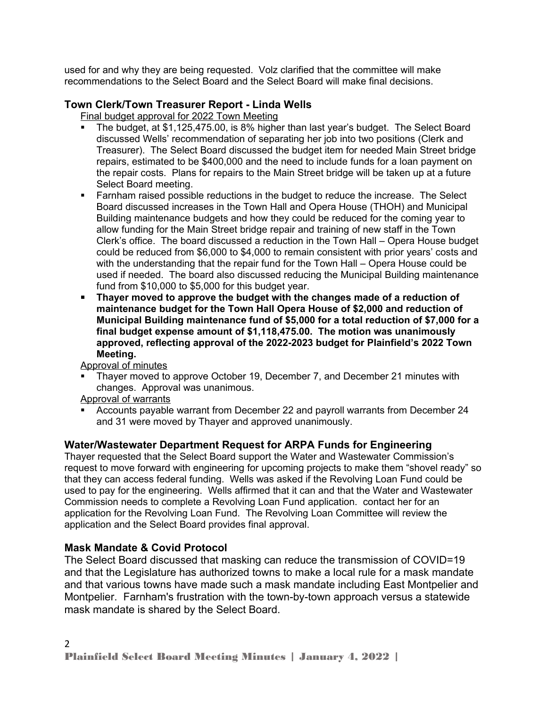used for and why they are being requested. Volz clarified that the committee will make recommendations to the Select Board and the Select Board will make final decisions.

## **Town Clerk/Town Treasurer Report - Linda Wells**

Final budget approval for 2022 Town Meeting

- The budget, at \$1,125,475.00, is 8% higher than last year's budget. The Select Board discussed Wells' recommendation of separating her job into two positions (Clerk and Treasurer). The Select Board discussed the budget item for needed Main Street bridge repairs, estimated to be \$400,000 and the need to include funds for a loan payment on the repair costs. Plans for repairs to the Main Street bridge will be taken up at a future Select Board meeting.
- Farnham raised possible reductions in the budget to reduce the increase. The Select Board discussed increases in the Town Hall and Opera House (THOH) and Municipal Building maintenance budgets and how they could be reduced for the coming year to allow funding for the Main Street bridge repair and training of new staff in the Town Clerk's office. The board discussed a reduction in the Town Hall – Opera House budget could be reduced from \$6,000 to \$4,000 to remain consistent with prior years' costs and with the understanding that the repair fund for the Town Hall – Opera House could be used if needed. The board also discussed reducing the Municipal Building maintenance fund from \$10,000 to \$5,000 for this budget year.
- **Thayer moved to approve the budget with the changes made of a reduction of maintenance budget for the Town Hall Opera House of \$2,000 and reduction of Municipal Building maintenance fund of \$5,000 for a total reduction of \$7,000 for a final budget expense amount of \$1,118,475.00. The motion was unanimously approved, reflecting approval of the 2022-2023 budget for Plainfield's 2022 Town Meeting.**

Approval of minutes

- Thayer moved to approve October 19, December 7, and December 21 minutes with changes. Approval was unanimous.
- Approval of warrants
- Accounts payable warrant from December 22 and payroll warrants from December 24 and 31 were moved by Thayer and approved unanimously.

# **Water/Wastewater Department Request for ARPA Funds for Engineering**

Thayer requested that the Select Board support the Water and Wastewater Commission's request to move forward with engineering for upcoming projects to make them "shovel ready" so that they can access federal funding. Wells was asked if the Revolving Loan Fund could be used to pay for the engineering. Wells affirmed that it can and that the Water and Wastewater Commission needs to complete a Revolving Loan Fund application. contact her for an application for the Revolving Loan Fund. The Revolving Loan Committee will review the application and the Select Board provides final approval.

## **Mask Mandate & Covid Protocol**

The Select Board discussed that masking can reduce the transmission of COVID=19 and that the Legislature has authorized towns to make a local rule for a mask mandate and that various towns have made such a mask mandate including East Montpelier and Montpelier. Farnham's frustration with the town-by-town approach versus a statewide mask mandate is shared by the Select Board.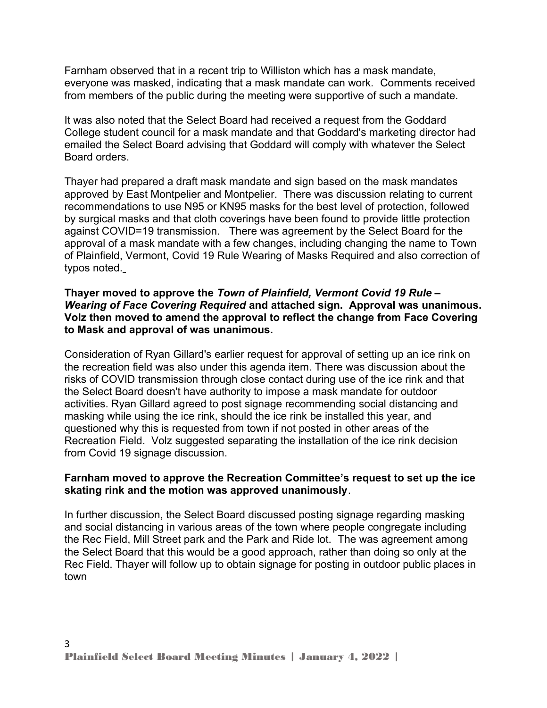Farnham observed that in a recent trip to Williston which has a mask mandate, everyone was masked, indicating that a mask mandate can work. Comments received from members of the public during the meeting were supportive of such a mandate.

It was also noted that the Select Board had received a request from the Goddard College student council for a mask mandate and that Goddard's marketing director had emailed the Select Board advising that Goddard will comply with whatever the Select Board orders.

Thayer had prepared a draft mask mandate and sign based on the mask mandates approved by East Montpelier and Montpelier. There was discussion relating to current recommendations to use N95 or KN95 masks for the best level of protection, followed by surgical masks and that cloth coverings have been found to provide little protection against COVID=19 transmission. There was agreement by the Select Board for the approval of a mask mandate with a few changes, including changing the name to Town of Plainfield, Vermont, Covid 19 Rule Wearing of Masks Required and also correction of typos noted.

### **Thayer moved to approve the** *Town of Plainfield, Vermont Covid 19 Rule – Wearing of Face Covering Required* **and attached sign. Approval was unanimous. Volz then moved to amend the approval to reflect the change from Face Covering to Mask and approval of was unanimous.**

Consideration of Ryan Gillard's earlier request for approval of setting up an ice rink on the recreation field was also under this agenda item. There was discussion about the risks of COVID transmission through close contact during use of the ice rink and that the Select Board doesn't have authority to impose a mask mandate for outdoor activities. Ryan Gillard agreed to post signage recommending social distancing and masking while using the ice rink, should the ice rink be installed this year, and questioned why this is requested from town if not posted in other areas of the Recreation Field. Volz suggested separating the installation of the ice rink decision from Covid 19 signage discussion.

## **Farnham moved to approve the Recreation Committee's request to set up the ice skating rink and the motion was approved unanimously**.

In further discussion, the Select Board discussed posting signage regarding masking and social distancing in various areas of the town where people congregate including the Rec Field, Mill Street park and the Park and Ride lot. The was agreement among the Select Board that this would be a good approach, rather than doing so only at the Rec Field. Thayer will follow up to obtain signage for posting in outdoor public places in town